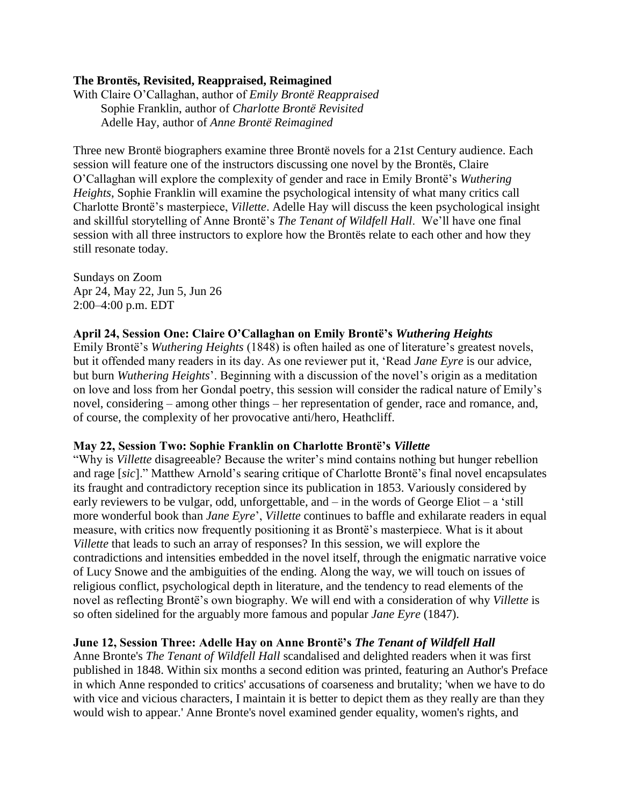## **The Brontës, Revisited, Reappraised, Reimagined**

With Claire O'Callaghan, author of *Emily Brontë Reappraised* Sophie Franklin, author of *Charlotte Brontë Revisited* Adelle Hay, author of *Anne Brontë Reimagined*

Three new Brontë biographers examine three Brontë novels for a 21st Century audience. Each session will feature one of the instructors discussing one novel by the Brontës, Claire O'Callaghan will explore the complexity of gender and race in Emily Brontë's *Wuthering Heights*, Sophie Franklin will examine the psychological intensity of what many critics call Charlotte Brontë's masterpiece, *Villette*. Adelle Hay will discuss the keen psychological insight and skillful storytelling of Anne Brontë's *The Tenant of Wildfell Hall*. We'll have one final session with all three instructors to explore how the Brontës relate to each other and how they still resonate today.

Sundays on Zoom Apr 24, May 22, Jun 5, Jun 26 2:00–4:00 p.m. EDT

## **April 24, Session One: Claire O'Callaghan on Emily Brontë's** *Wuthering Heights*

Emily Brontë's *Wuthering Heights* (1848) is often hailed as one of literature's greatest novels, but it offended many readers in its day. As one reviewer put it, 'Read *Jane Eyre* is our advice, but burn *Wuthering Heights*'. Beginning with a discussion of the novel's origin as a meditation on love and loss from her Gondal poetry, this session will consider the radical nature of Emily's novel, considering – among other things – her representation of gender, race and romance, and, of course, the complexity of her provocative anti/hero, Heathcliff.

#### **May 22, Session Two: Sophie Franklin on Charlotte Brontë's** *Villette*

"Why is *Villette* disagreeable? Because the writer's mind contains nothing but hunger rebellion and rage [*sic*]." Matthew Arnold's searing critique of Charlotte Brontë's final novel encapsulates its fraught and contradictory reception since its publication in 1853. Variously considered by early reviewers to be vulgar, odd, unforgettable, and – in the words of George Eliot – a 'still more wonderful book than *Jane Eyre*', *Villette* continues to baffle and exhilarate readers in equal measure, with critics now frequently positioning it as Brontë's masterpiece. What is it about *Villette* that leads to such an array of responses? In this session, we will explore the contradictions and intensities embedded in the novel itself, through the enigmatic narrative voice of Lucy Snowe and the ambiguities of the ending. Along the way, we will touch on issues of religious conflict, psychological depth in literature, and the tendency to read elements of the novel as reflecting Brontë's own biography. We will end with a consideration of why *Villette* is so often sidelined for the arguably more famous and popular *Jane Eyre* (1847).

### **June 12, Session Three: Adelle Hay on Anne Brontë's** *The Tenant of Wildfell Hall*

Anne Bronte's *The Tenant of Wildfell Hall* scandalised and delighted readers when it was first published in 1848. Within six months a second edition was printed, featuring an Author's Preface in which Anne responded to critics' accusations of coarseness and brutality; 'when we have to do with vice and vicious characters, I maintain it is better to depict them as they really are than they would wish to appear.' Anne Bronte's novel examined gender equality, women's rights, and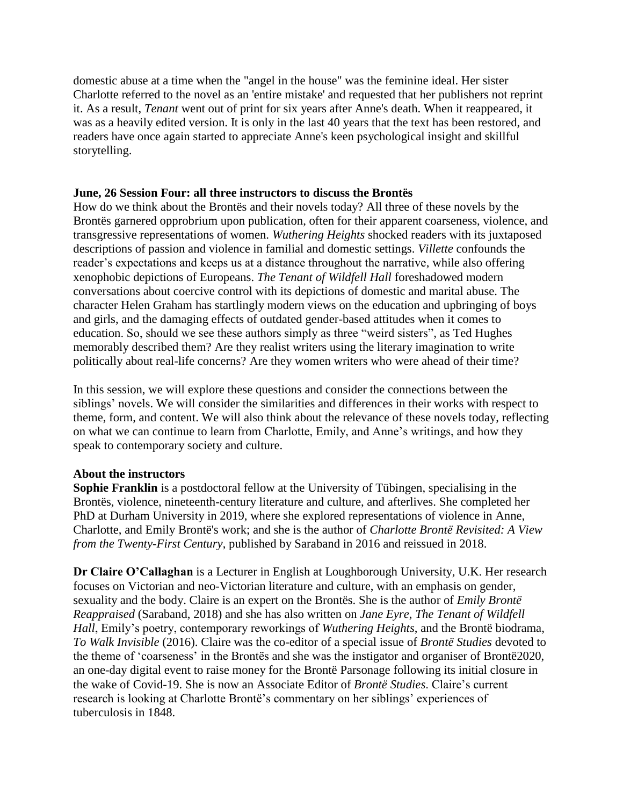domestic abuse at a time when the "angel in the house" was the feminine ideal. Her sister Charlotte referred to the novel as an 'entire mistake' and requested that her publishers not reprint it. As a result, *Tenant* went out of print for six years after Anne's death. When it reappeared, it was as a heavily edited version. It is only in the last 40 years that the text has been restored, and readers have once again started to appreciate Anne's keen psychological insight and skillful storytelling.

# **June, 26 Session Four: all three instructors to discuss the Brontës**

How do we think about the Brontës and their novels today? All three of these novels by the Brontës garnered opprobrium upon publication, often for their apparent coarseness, violence, and transgressive representations of women. *Wuthering Heights* shocked readers with its juxtaposed descriptions of passion and violence in familial and domestic settings. *Villette* confounds the reader's expectations and keeps us at a distance throughout the narrative, while also offering xenophobic depictions of Europeans. *The Tenant of Wildfell Hall* foreshadowed modern conversations about coercive control with its depictions of domestic and marital abuse. The character Helen Graham has startlingly modern views on the education and upbringing of boys and girls, and the damaging effects of outdated gender-based attitudes when it comes to education. So, should we see these authors simply as three "weird sisters", as Ted Hughes memorably described them? Are they realist writers using the literary imagination to write politically about real-life concerns? Are they women writers who were ahead of their time?

In this session, we will explore these questions and consider the connections between the siblings' novels. We will consider the similarities and differences in their works with respect to theme, form, and content. We will also think about the relevance of these novels today, reflecting on what we can continue to learn from Charlotte, Emily, and Anne's writings, and how they speak to contemporary society and culture.

## **About the instructors**

**Sophie Franklin** is a postdoctoral fellow at the University of Tübingen, specialising in the Brontës, violence, nineteenth-century literature and culture, and afterlives. She completed her PhD at Durham University in 2019, where she explored representations of violence in Anne, Charlotte, and Emily Brontë's work; and she is the author of *Charlotte Brontë Revisited: A View from the Twenty-First Century*, published by Saraband in 2016 and reissued in 2018.

**Dr Claire O'Callaghan** is a Lecturer in English at Loughborough University, U.K. Her research focuses on Victorian and neo-Victorian literature and culture, with an emphasis on gender, sexuality and the body. Claire is an expert on the Brontës. She is the author of *Emily Brontë Reappraised* (Saraband, 2018) and she has also written on *Jane Eyre*, *The Tenant of Wildfell Hall*, Emily's poetry, contemporary reworkings of *Wuthering Heights*, and the Brontë biodrama, *To Walk Invisible* (2016). Claire was the co-editor of a special issue of *Brontë Studies* devoted to the theme of 'coarseness' in the Brontës and she was the instigator and organiser of Brontë2020, an one-day digital event to raise money for the Brontë Parsonage following its initial closure in the wake of Covid-19. She is now an Associate Editor of *Brontë Studies*. Claire's current research is looking at Charlotte Brontë's commentary on her siblings' experiences of tuberculosis in 1848.